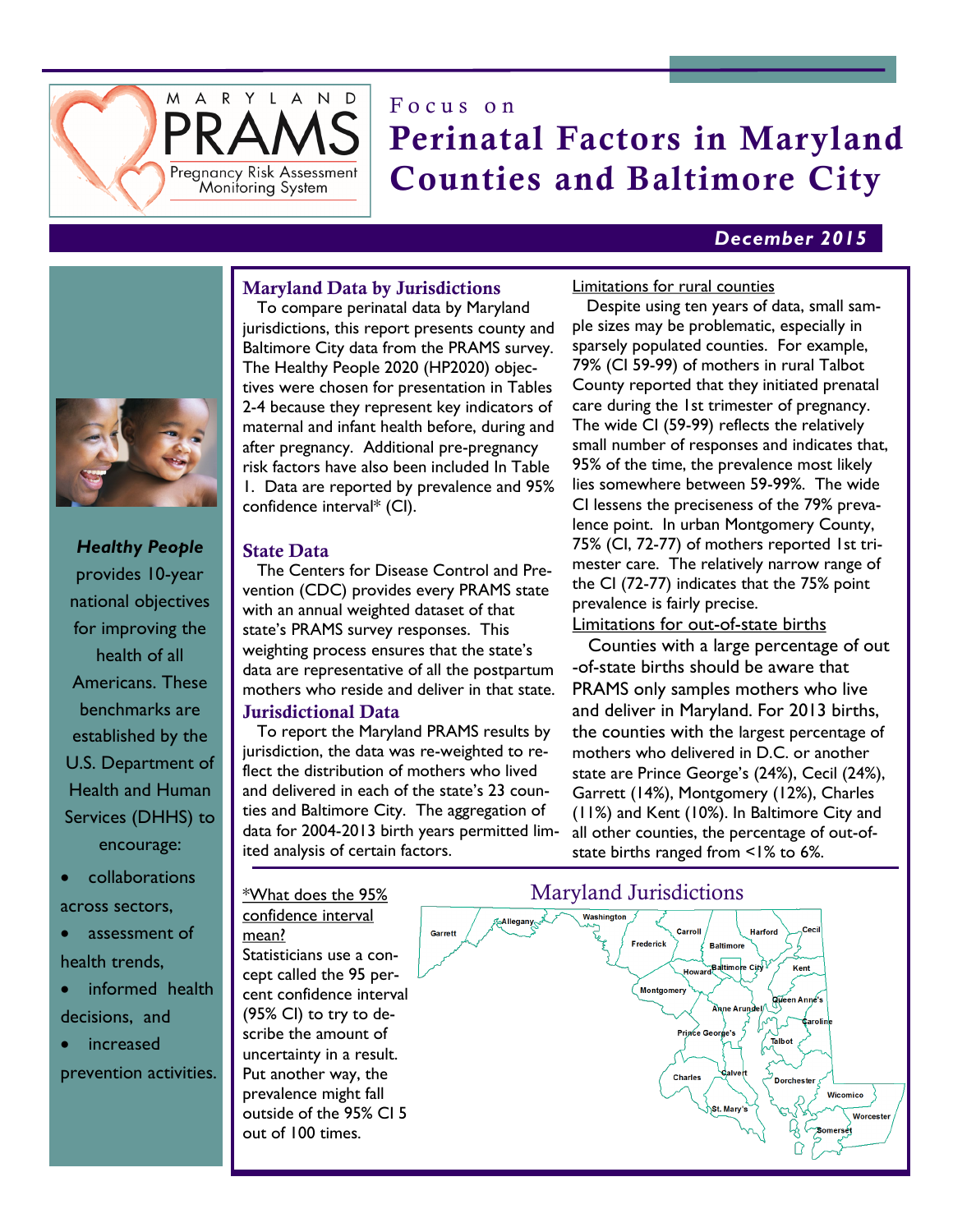

# F o c u s o n **Perinatal Factors in Maryland Counties and Baltimore City**

# *December 2015*

## **Maryland Data by Jurisdictions**

*Healthy People* provides 10-year national objectives for improving the health of all Americans. These benchmarks are established by the U.S. Department of Health and Human Services (DHHS) to encourage:

- collaborations across sectors,
- assessment of health trends,
- informed health decisions, and
- increased

prevention activities.

 To compare perinatal data by Maryland jurisdictions, this report presents county and Baltimore City data from the PRAMS survey. The Healthy People 2020 (HP2020) objectives were chosen for presentation in Tables 2-4 because they represent key indicators of maternal and infant health before, during and after pregnancy. Additional pre-pregnancy risk factors have also been included In Table 1. Data are reported by prevalence and 95% confidence interval\* (CI).

# **State Data**

 The Centers for Disease Control and Prevention (CDC) provides every PRAMS state with an annual weighted dataset of that state's PRAMS survey responses. This weighting process ensures that the state's data are representative of all the postpartum mothers who reside and deliver in that state. **Jurisdictional Data**

 To report the Maryland PRAMS results by jurisdiction, the data was re-weighted to reflect the distribution of mothers who lived and delivered in each of the state's 23 counties and Baltimore City. The aggregation of data for 2004-2013 birth years permitted limited analysis of certain factors.

\*What does the 95% confidence interval mean? Statisticians use a concept called the 95 percent confidence interval (95% CI) to try to describe the amount of uncertainty in a result. Put another way, the prevalence might fall

out of 100 times.

Limitations for rural counties

 Despite using ten years of data, small sample sizes may be problematic, especially in sparsely populated counties. For example, 79% (CI 59-99) of mothers in rural Talbot County reported that they initiated prenatal care during the 1st trimester of pregnancy. The wide CI (59-99) reflects the relatively small number of responses and indicates that, 95% of the time, the prevalence most likely lies somewhere between 59-99%. The wide CI lessens the preciseness of the 79% prevalence point. In urban Montgomery County, 75% (CI, 72-77) of mothers reported 1st trimester care. The relatively narrow range of the CI (72-77) indicates that the 75% point prevalence is fairly precise.

Limitations for out-of-state births

 Counties with a large percentage of out -of-state births should be aware that PRAMS only samples mothers who live and deliver in Maryland. For 2013 births, the counties with the largest percentage of mothers who delivered in D.C. or another state are Prince George's (24%), Cecil (24%), Garrett (14%), Montgomery (12%), Charles (11%) and Kent (10%). In Baltimore City and all other counties, the percentage of out-ofstate births ranged from <1% to 6%.

# Maryland Jurisdictions

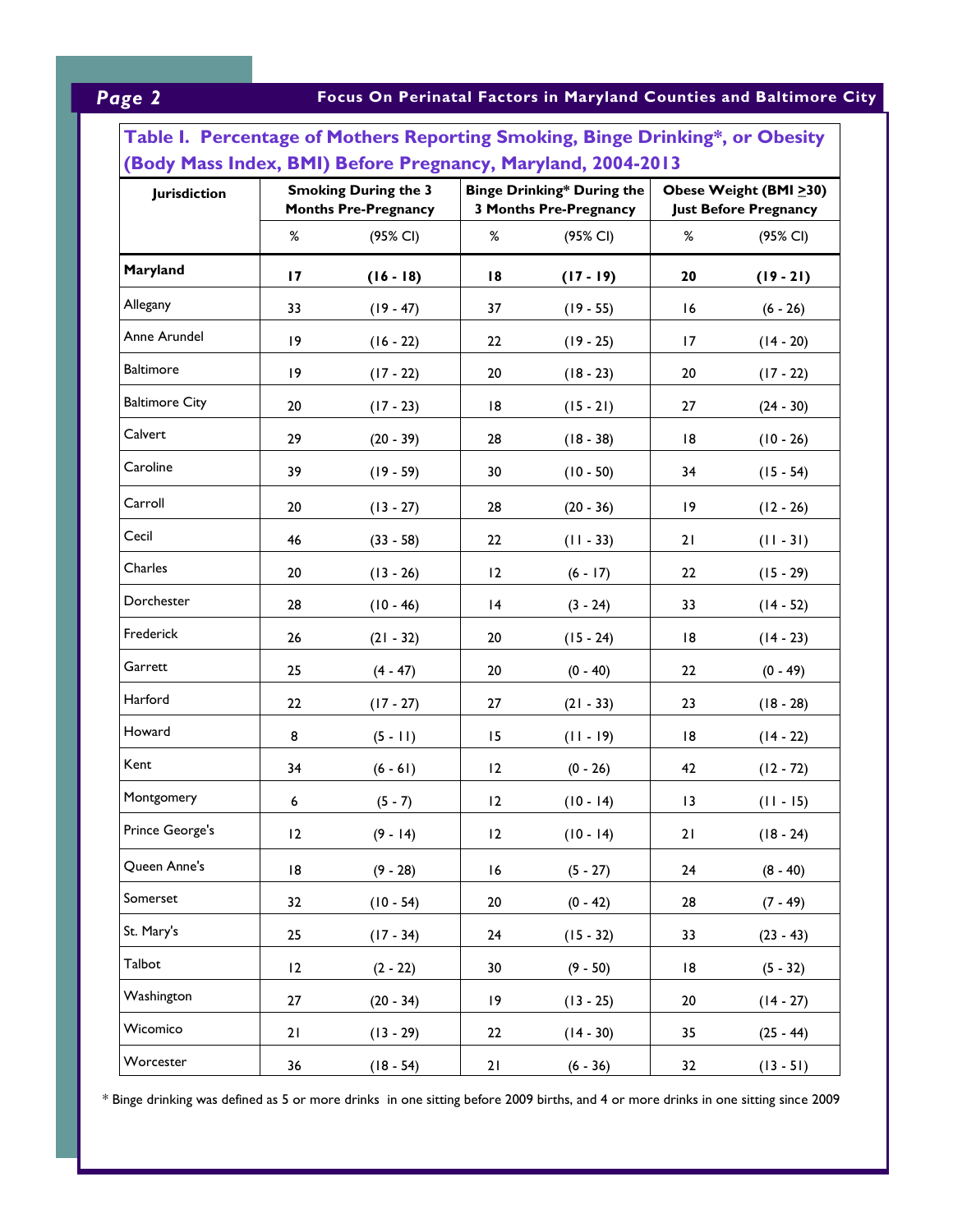# *Page 2* **Focus On Perinatal Factors in Maryland Counties and Baltimore City**

| <b>Jurisdiction</b>   | <b>Smoking During the 3</b><br><b>Months Pre-Pregnancy</b> |             |    | <b>Binge Drinking* During the</b><br><b>3 Months Pre-Pregnancy</b> |             | Obese Weight (BMI > 30)<br><b>Just Before Pregnancy</b> |  |
|-----------------------|------------------------------------------------------------|-------------|----|--------------------------------------------------------------------|-------------|---------------------------------------------------------|--|
|                       | $\%$                                                       | (95% CI)    | %  | (95% CI)                                                           | %           | (95% CI)                                                |  |
| Maryland              | 17                                                         | $(16 - 18)$ | 18 | $(17 - 19)$                                                        | 20          | $(19 - 21)$                                             |  |
| Allegany              | 33                                                         | $(19 - 47)$ | 37 | $(19 - 55)$                                                        | 16          | $(6 - 26)$                                              |  |
| Anne Arundel          | 19                                                         | $(16 - 22)$ | 22 | $(19 - 25)$                                                        | 17          | $(14 - 20)$                                             |  |
| <b>Baltimore</b>      | 9                                                          | $(17 - 22)$ | 20 | $(18 - 23)$                                                        | 20          | $(17 - 22)$                                             |  |
| <b>Baltimore City</b> | 20                                                         | $(17 - 23)$ | 18 | $(15 - 21)$                                                        | 27          | $(24 - 30)$                                             |  |
| Calvert               | 29                                                         | $(20 - 39)$ | 28 | $(18 - 38)$                                                        | 18          | $(10 - 26)$                                             |  |
| Caroline              | 39                                                         | $(19 - 59)$ | 30 | $(10 - 50)$                                                        | 34          | $(15 - 54)$                                             |  |
| Carroll               | 20                                                         | $(13 - 27)$ | 28 | $(20 - 36)$                                                        | $ 9\rangle$ | $(12 - 26)$                                             |  |
| Cecil                 | 46                                                         | $(33 - 58)$ | 22 | $(11 - 33)$                                                        | 21          | $(11 - 31)$                                             |  |
| Charles               | 20                                                         | $(13 - 26)$ | 12 | $(6 - 17)$                                                         | 22          | $(15 - 29)$                                             |  |
| Dorchester            | 28                                                         | $(10 - 46)$ | 4  | $(3 - 24)$                                                         | 33          | $(14 - 52)$                                             |  |
| Frederick             | 26                                                         | $(21 - 32)$ | 20 | $(15 - 24)$                                                        | 18          | $(14 - 23)$                                             |  |
| Garrett               | 25                                                         | $(4 - 47)$  | 20 | $(0 - 40)$                                                         | 22          | $(0 - 49)$                                              |  |
| Harford               | 22                                                         | $(17 - 27)$ | 27 | $(21 - 33)$                                                        | 23          | $(18 - 28)$                                             |  |
| Howard                | 8                                                          | $(5 - 11)$  | 15 | $(11 - 19)$                                                        | 18          | $(14 - 22)$                                             |  |
| Kent                  | 34                                                         | $(6 - 61)$  | 12 | $(0 - 26)$                                                         | 42          | $(12 - 72)$                                             |  |
| Montgomery            | 6                                                          | $(5 - 7)$   | 12 | $(10 - 14)$                                                        | 13          | $(11 - 15)$                                             |  |
| Prince George's       | 12                                                         | $(9 - 14)$  | 12 | $(10 - 14)$                                                        | 21          | $(18 - 24)$                                             |  |
| Queen Anne's          | 18                                                         | $(9 - 28)$  | 16 | $(5 - 27)$                                                         | 24          | $(8 - 40)$                                              |  |
| Somerset              | 32                                                         | $(10 - 54)$ | 20 | $(0 - 42)$                                                         | 28          | $(7 - 49)$                                              |  |
| St. Mary's            | 25                                                         | $(17 - 34)$ | 24 | $(15 - 32)$                                                        | 33          | $(23 - 43)$                                             |  |
| Talbot                | 12                                                         | $(2 - 22)$  | 30 | $(9 - 50)$                                                         | 18          | $(5 - 32)$                                              |  |
| Washington            | 27                                                         | $(20 - 34)$ | 19 | $(13 - 25)$                                                        | 20          | $(14 - 27)$                                             |  |
| Wicomico              | 21                                                         | $(13 - 29)$ | 22 | $(14 - 30)$                                                        | 35          | $(25 - 44)$                                             |  |
| Worcester             | 36                                                         | $(18 - 54)$ | 21 | $(6 - 36)$                                                         | 32          | $(13 - 51)$                                             |  |

\* Binge drinking was defined as 5 or more drinks in one sitting before 2009 births, and 4 or more drinks in one sitting since 2009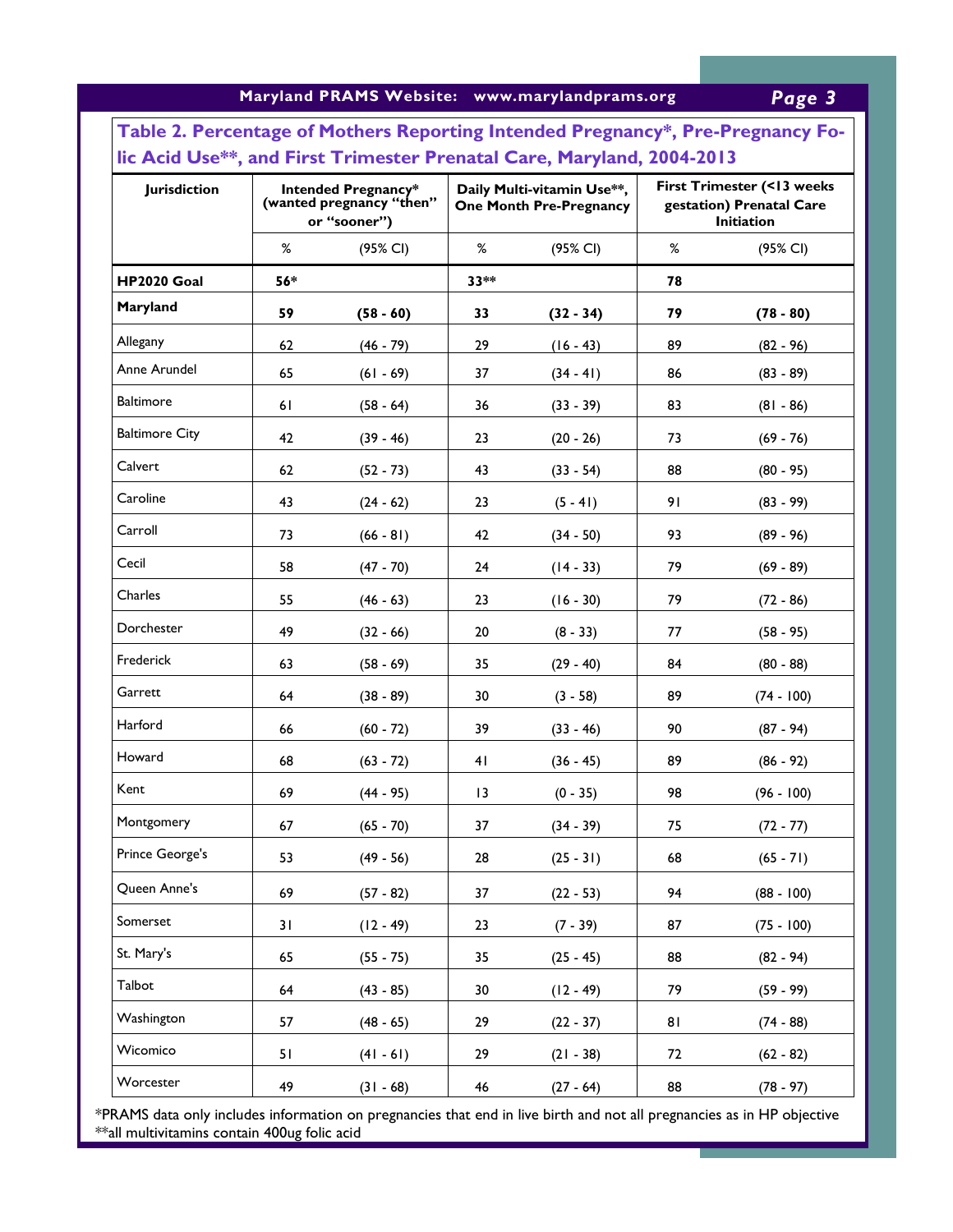| 1aryland PRAMS Website:   www.marylandprams.org |  |  |  |
|-------------------------------------------------|--|--|--|
|-------------------------------------------------|--|--|--|

Page 3

|                       |     |                                                                 |        |                                                                                                                                        |    | Table 2. Percentage of Mothers Reporting Intended Pregnancy*, Pre-Pregnancy Fo- |  |
|-----------------------|-----|-----------------------------------------------------------------|--------|----------------------------------------------------------------------------------------------------------------------------------------|----|---------------------------------------------------------------------------------|--|
| <b>Jurisdiction</b>   |     | Intended Pregnancy*<br>(wanted pregnancy "then"<br>or "sooner") |        | lic Acid Use**, and First Trimester Prenatal Care, Maryland, 2004-2013<br>Daily Multi-vitamin Use**,<br><b>One Month Pre-Pregnancy</b> |    | First Trimester (<13 weeks<br>gestation) Prenatal Care<br><b>Initiation</b>     |  |
|                       | %   | (95% CI)                                                        | %      | (95% CI)                                                                                                                               | %  | (95% CI)                                                                        |  |
| HP2020 Goal           | 56* |                                                                 | $33**$ |                                                                                                                                        | 78 |                                                                                 |  |
| Maryland              | 59  | $(58 - 60)$                                                     | 33     | $(32 - 34)$                                                                                                                            | 79 | $(78 - 80)$                                                                     |  |
| Allegany              | 62  | $(46 - 79)$                                                     | 29     | $(16 - 43)$                                                                                                                            | 89 | $(82 - 96)$                                                                     |  |
| Anne Arundel          | 65  | $(61 - 69)$                                                     | 37     | $(34 - 41)$                                                                                                                            | 86 | $(83 - 89)$                                                                     |  |
| <b>Baltimore</b>      | 61  | $(58 - 64)$                                                     | 36     | $(33 - 39)$                                                                                                                            | 83 | $(81 - 86)$                                                                     |  |
| <b>Baltimore City</b> | 42  | $(39 - 46)$                                                     | 23     | $(20 - 26)$                                                                                                                            | 73 | $(69 - 76)$                                                                     |  |
| Calvert               | 62  | $(52 - 73)$                                                     | 43     | $(33 - 54)$                                                                                                                            | 88 | $(80 - 95)$                                                                     |  |
| Caroline              | 43  | $(24 - 62)$                                                     | 23     | $(5 - 41)$                                                                                                                             | 91 | $(83 - 99)$                                                                     |  |
| Carroll               | 73  | $(66 - 81)$                                                     | 42     | $(34 - 50)$                                                                                                                            | 93 | $(89 - 96)$                                                                     |  |
| Cecil                 | 58  | $(47 - 70)$                                                     | 24     | $(14 - 33)$                                                                                                                            | 79 | $(69 - 89)$                                                                     |  |
| Charles               | 55  | $(46 - 63)$                                                     | 23     | $(16 - 30)$                                                                                                                            | 79 | $(72 - 86)$                                                                     |  |
| Dorchester            | 49  | $(32 - 66)$                                                     | 20     | $(8 - 33)$                                                                                                                             | 77 | $(58 - 95)$                                                                     |  |
| Frederick             | 63  | $(58 - 69)$                                                     | 35     | $(29 - 40)$                                                                                                                            | 84 | $(80 - 88)$                                                                     |  |
| Garrett               | 64  | $(38 - 89)$                                                     | 30     | $(3 - 58)$                                                                                                                             | 89 | $(74 - 100)$                                                                    |  |
| Harford               | 66  | $(60 - 72)$                                                     | 39     | $(33 - 46)$                                                                                                                            | 90 | $(87 - 94)$                                                                     |  |
| Howard                | 68  | $(63 - 72)$                                                     | 41     | $(36 - 45)$                                                                                                                            | 89 | $(86 - 92)$                                                                     |  |
| Kent                  | 69  | $(44 - 95)$                                                     | 3      | $(0 - 35)$                                                                                                                             | 98 | $(96 - 100)$                                                                    |  |
| Montgomery            | 67  | $(65 - 70)$                                                     | 37     | $(34 - 39)$                                                                                                                            | 75 | $(72 - 77)$                                                                     |  |
| Prince George's       | 53  | $(49 - 56)$                                                     | 28     | $(25 - 31)$                                                                                                                            | 68 | $(65 - 71)$                                                                     |  |
| Queen Anne's          | 69  | $(57 - 82)$                                                     | 37     | $(22 - 53)$                                                                                                                            | 94 | $(88 - 100)$                                                                    |  |
| Somerset              | 31  | $(12 - 49)$                                                     | 23     | $(7 - 39)$                                                                                                                             | 87 | $(75 - 100)$                                                                    |  |
| St. Mary's            | 65  | $(55 - 75)$                                                     | 35     | $(25 - 45)$                                                                                                                            | 88 | $(82 - 94)$                                                                     |  |
| Talbot                | 64  | $(43 - 85)$                                                     | 30     | $(12 - 49)$                                                                                                                            | 79 | $(59 - 99)$                                                                     |  |
| Washington            |     |                                                                 |        |                                                                                                                                        |    |                                                                                 |  |
| Wicomico              | 57  | $(48 - 65)$                                                     | 29     | $(22 - 37)$                                                                                                                            | 81 | $(74 - 88)$                                                                     |  |
|                       | 51  | $(41 - 61)$                                                     | 29     | $(21 - 38)$                                                                                                                            | 72 | $(62 - 82)$                                                                     |  |
| Worcester             | 49  | $(31 - 68)$                                                     | 46     | $(27 - 64)$                                                                                                                            | 88 | $(78 - 97)$                                                                     |  |

\*PRAMS data only includes information on pregnancies that end in live birth and not all pregnancies as in HP objective \*\*all multivitamins contain 400ug folic acid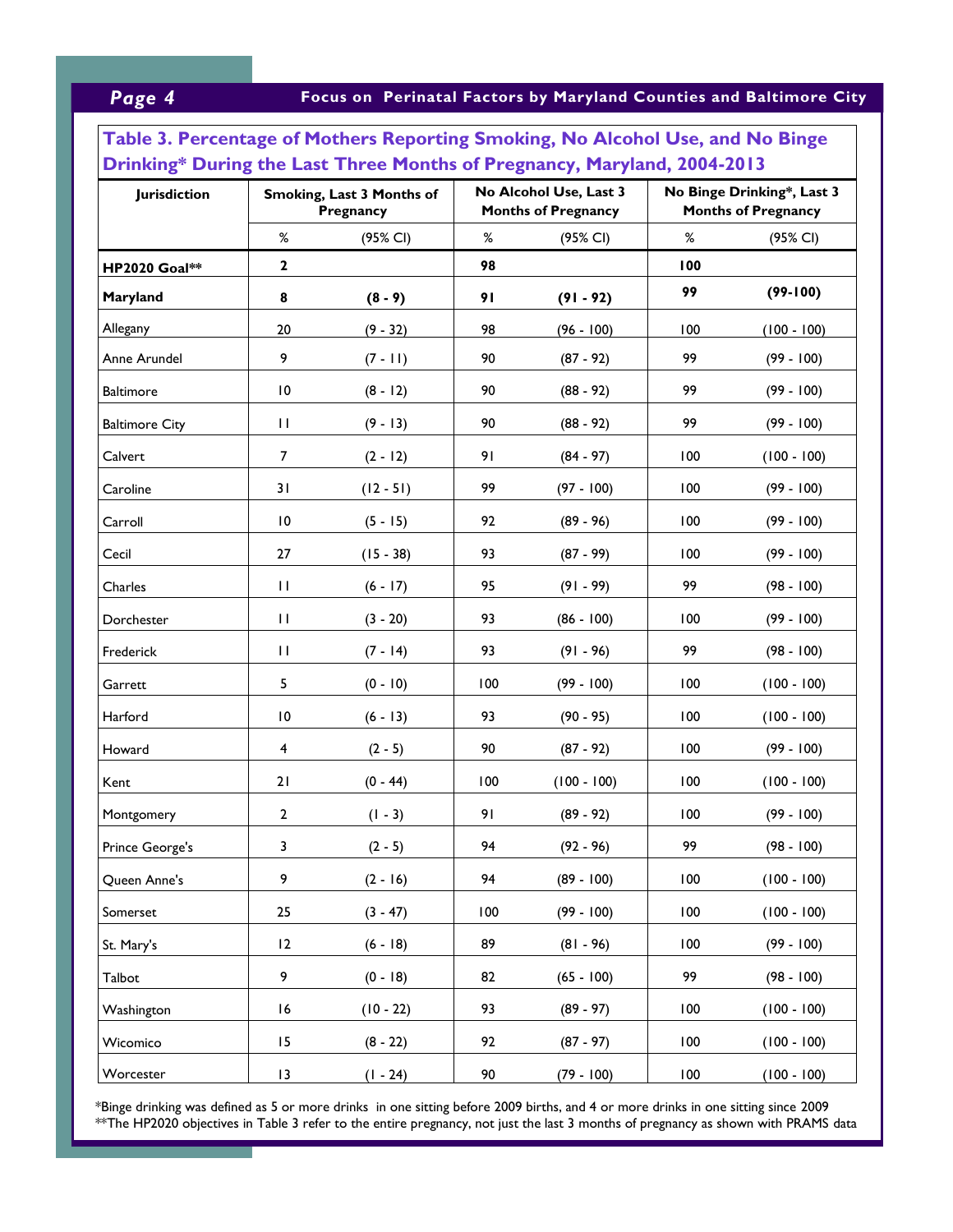# *Page 4* **Focus on Perinatal Factors by Maryland Counties and Baltimore City**

| Table 3. Percentage of Mothers Reporting Smoking, No Alcohol Use, and No Binge<br>Drinking* During the Last Three Months of Pregnancy, Maryland, 2004-2013 |                 |                                        |     |                                                      |      |                                                          |  |
|------------------------------------------------------------------------------------------------------------------------------------------------------------|-----------------|----------------------------------------|-----|------------------------------------------------------|------|----------------------------------------------------------|--|
| <b>Jurisdiction</b>                                                                                                                                        |                 | Smoking, Last 3 Months of<br>Pregnancy |     | No Alcohol Use, Last 3<br><b>Months of Pregnancy</b> |      | No Binge Drinking*, Last 3<br><b>Months of Pregnancy</b> |  |
|                                                                                                                                                            | %               | (95% CI)                               | %   | (95% CI)                                             | $\%$ | (95% CI)                                                 |  |
| <b>HP2020 Goal**</b>                                                                                                                                       | $\mathbf{2}$    |                                        | 98  |                                                      | 100  |                                                          |  |
| Maryland                                                                                                                                                   | 8               | $(8 - 9)$                              | 91  | $(91 - 92)$                                          | 99   | $(99-100)$                                               |  |
| Allegany                                                                                                                                                   | 20              | $(9 - 32)$                             | 98  | $(96 - 100)$                                         | 100  | $(100 - 100)$                                            |  |
| Anne Arundel                                                                                                                                               | 9               | $(7 - 11)$                             | 90  | $(87 - 92)$                                          | 99   | $(99 - 100)$                                             |  |
| <b>Baltimore</b>                                                                                                                                           | 10              | $(8 - 12)$                             | 90  | $(88 - 92)$                                          | 99   | $(99 - 100)$                                             |  |
| <b>Baltimore City</b>                                                                                                                                      | $\mathbf{H}$    | $(9 - 13)$                             | 90  | $(88 - 92)$                                          | 99   | $(99 - 100)$                                             |  |
| Calvert                                                                                                                                                    | $\overline{7}$  | $(2 - 12)$                             | 91  | $(84 - 97)$                                          | 100  | $(100 - 100)$                                            |  |
| Caroline                                                                                                                                                   | 31              | $(12 - 51)$                            | 99  | $(97 - 100)$                                         | 100  | $(99 - 100)$                                             |  |
| Carroll                                                                                                                                                    | $\overline{10}$ | $(5 - 15)$                             | 92  | $(89 - 96)$                                          | 100  | $(99 - 100)$                                             |  |
| Cecil                                                                                                                                                      | 27              | $(15 - 38)$                            | 93  | $(87 - 99)$                                          | 100  | $(99 - 100)$                                             |  |
| Charles                                                                                                                                                    | $\mathbf{H}$    | $(6 - 17)$                             | 95  | $(91 - 99)$                                          | 99   | $(98 - 100)$                                             |  |
| Dorchester                                                                                                                                                 | $\mathbf{H}$    | $(3 - 20)$                             | 93  | $(86 - 100)$                                         | 100  | $(99 - 100)$                                             |  |
| Frederick                                                                                                                                                  | $\mathbf{H}$    | $(7 - 14)$                             | 93  | $(91 - 96)$                                          | 99   | $(98 - 100)$                                             |  |
| Garrett                                                                                                                                                    | 5               | $(0 - 10)$                             | 100 | $(99 - 100)$                                         | 100  | $(100 - 100)$                                            |  |
| Harford                                                                                                                                                    | $\overline{10}$ | $(6 - 13)$                             | 93  | $(90 - 95)$                                          | 100  | $(100 - 100)$                                            |  |
| Howard                                                                                                                                                     | 4               | $(2 - 5)$                              | 90  | $(87 - 92)$                                          | 100  | $(99 - 100)$                                             |  |
| Kent                                                                                                                                                       | 21              | $(0 - 44)$                             | 100 | $(100 - 100)$                                        | 100  | $(100 - 100)$                                            |  |
| Montgomery                                                                                                                                                 | 2               | $(1 - 3)$                              | 91  | $(89 - 92)$                                          | 100  | $(99 - 100)$                                             |  |
| Prince George's                                                                                                                                            | 3               | $(2 - 5)$                              | 94  | $(92 - 96)$                                          | 99   | $(98 - 100)$                                             |  |
| Queen Anne's                                                                                                                                               | 9               | $(2 - 16)$                             | 94  | $(89 - 100)$                                         | 100  | $(100 - 100)$                                            |  |
| Somerset                                                                                                                                                   | 25              | $(3 - 47)$                             | 100 | $(99 - 100)$                                         | 100  | $(100 - 100)$                                            |  |
| St. Mary's                                                                                                                                                 | 12              | $(6 - 18)$                             | 89  | $(81 - 96)$                                          | 100  | $(99 - 100)$                                             |  |
| Talbot                                                                                                                                                     | 9               | $(0 - 18)$                             | 82  | $(65 - 100)$                                         | 99   | $(98 - 100)$                                             |  |
| Washington                                                                                                                                                 | 16              | $(10 - 22)$                            | 93  | $(89 - 97)$                                          | 100  | $(100 - 100)$                                            |  |
| Wicomico                                                                                                                                                   | 15              | $(8 - 22)$                             | 92  | $(87 - 97)$                                          | 100  | $(100 - 100)$                                            |  |
| Worcester                                                                                                                                                  | 13              | $(1 - 24)$                             | 90  | $(79 - 100)$                                         | 100  | $(100 - 100)$                                            |  |

\*Binge drinking was defined as 5 or more drinks in one sitting before 2009 births, and 4 or more drinks in one sitting since 2009 \*\*The HP2020 objectives in Table 3 refer to the entire pregnancy, not just the last 3 months of pregnancy as shown with PRAMS data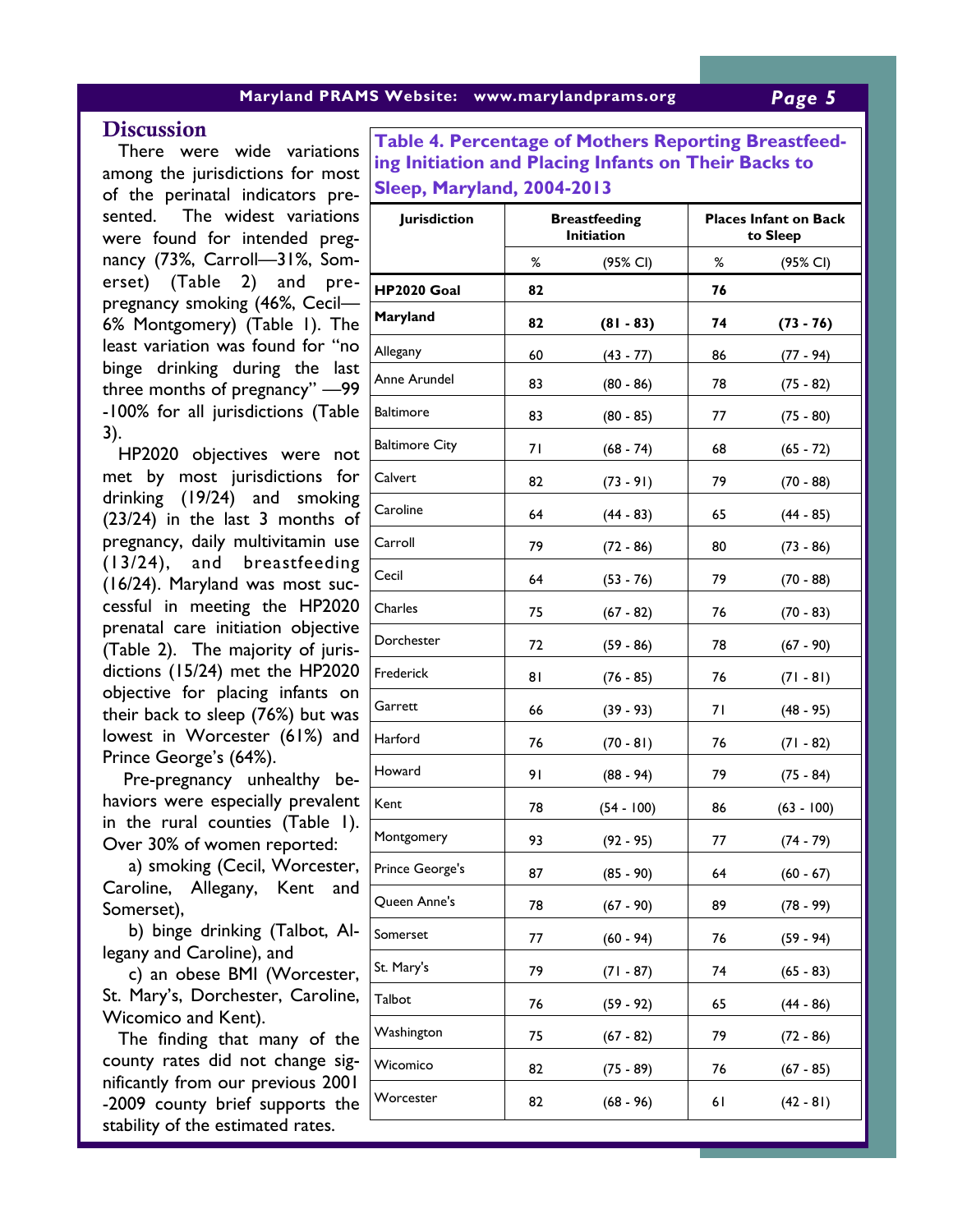### **Maryland PRAMS Website: www.marylandprams.org** *Page 5*

# **Discussion**

 There were wide variations among the jurisdictions for most sented. The widest variations were found for intended pregnancy (73%, Carroll—31%, Somerset) (Table 2) and prepregnancy smoking (46%, Cecil— 6% Montgomery) (Table 1). The least variation was found for "no binge drinking during the last three months of pregnancy" —99 -100% for all jurisdictions (Table 3).

 HP2020 objectives were not met by most jurisdictions for drinking (19/24) and smoking (23/24) in the last 3 months of pregnancy, daily multivitamin use (13/24), and breastfeeding (16/24). Maryland was most successful in meeting the HP2020 prenatal care initiation objective (Table 2). The majority of jurisdictions (15/24) met the HP2020 objective for placing infants on their back to sleep (76%) but was lowest in Worcester (61%) and Prince George's (64%).

 Pre-pregnancy unhealthy behaviors were especially prevalent in the rural counties (Table 1). Over 30% of women reported:

 a) smoking (Cecil, Worcester, Caroline, Allegany, Kent and Somerset),

 b) binge drinking (Talbot, Allegany and Caroline), and

 c) an obese BMI (Worcester, St. Mary's, Dorchester, Caroline, Wicomico and Kent).

 The finding that many of the county rates did not change significantly from our previous 2001 -2009 county brief supports the stability of the estimated rates.

of the perinatal indicators pre-**Sleep, Maryland, 2004-2013 Table 4. Percentage of Mothers Reporting Breastfeeding Initiation and Placing Infants on Their Backs to** 

| <b>Jurisdiction</b>   | <b>Breastfeeding</b><br><b>Initiation</b> |              |    | <b>Places Infant on Back</b><br>to Sleep |  |  |
|-----------------------|-------------------------------------------|--------------|----|------------------------------------------|--|--|
|                       | %                                         | (95% CI)     | %  | (95% CI)                                 |  |  |
| <b>HP2020 Goal</b>    | 82                                        |              | 76 |                                          |  |  |
| Maryland              | 82                                        | $(81 - 83)$  | 74 | $(73 - 76)$                              |  |  |
| Allegany              | 60                                        | $(43 - 77)$  | 86 | $(77 - 94)$                              |  |  |
| Anne Arundel          | 83                                        | $(80 - 86)$  | 78 | $(75 - 82)$                              |  |  |
| <b>Baltimore</b>      | 83                                        | $(80 - 85)$  | 77 | $(75 - 80)$                              |  |  |
| <b>Baltimore City</b> | 71                                        | $(68 - 74)$  | 68 | $(65 - 72)$                              |  |  |
| Calvert               | 82                                        | $(73 - 91)$  | 79 | $(70 - 88)$                              |  |  |
| Caroline              | 64                                        | $(44 - 83)$  | 65 | $(44 - 85)$                              |  |  |
| Carroll               | 79                                        | $(72 - 86)$  | 80 | $(73 - 86)$                              |  |  |
| Cecil                 | 64                                        | $(53 - 76)$  | 79 | $(70 - 88)$                              |  |  |
| Charles               | 75                                        | $(67 - 82)$  | 76 | $(70 - 83)$                              |  |  |
| Dorchester            | 72                                        | $(59 - 86)$  | 78 | $(67 - 90)$                              |  |  |
| Frederick             | 81                                        | $(76 - 85)$  | 76 | $(71 - 81)$                              |  |  |
| Garrett               | 66                                        | $(39 - 93)$  | 71 | $(48 - 95)$                              |  |  |
| Harford               | 76                                        | $(70 - 81)$  | 76 | $(71 - 82)$                              |  |  |
| Howard                | 91                                        | $(88 - 94)$  | 79 | $(75 - 84)$                              |  |  |
| Kent                  | 78                                        | $(54 - 100)$ | 86 | $(63 - 100)$                             |  |  |
| Montgomery            | 93                                        | $(92 - 95)$  | 77 | $(74 - 79)$                              |  |  |
| Prince George's       | 87                                        | $(85 - 90)$  | 64 | $(60 - 67)$                              |  |  |
| Queen Anne's          | 78                                        | $(67 - 90)$  | 89 | $(78 - 99)$                              |  |  |
| Somerset              | 77                                        | $(60 - 94)$  | 76 | $(59 - 94)$                              |  |  |
| St. Mary's            | 79                                        | $(71 - 87)$  | 74 | $(65 - 83)$                              |  |  |
| Talbot                | 76                                        | $(59 - 92)$  | 65 | $(44 - 86)$                              |  |  |
| Washington            | 75                                        | $(67 - 82)$  | 79 | $(72 - 86)$                              |  |  |
| Wicomico              | 82                                        | $(75 - 89)$  | 76 | $(67 - 85)$                              |  |  |
| Worcester             | 82                                        | $(68 - 96)$  | 61 | $(42 - 81)$                              |  |  |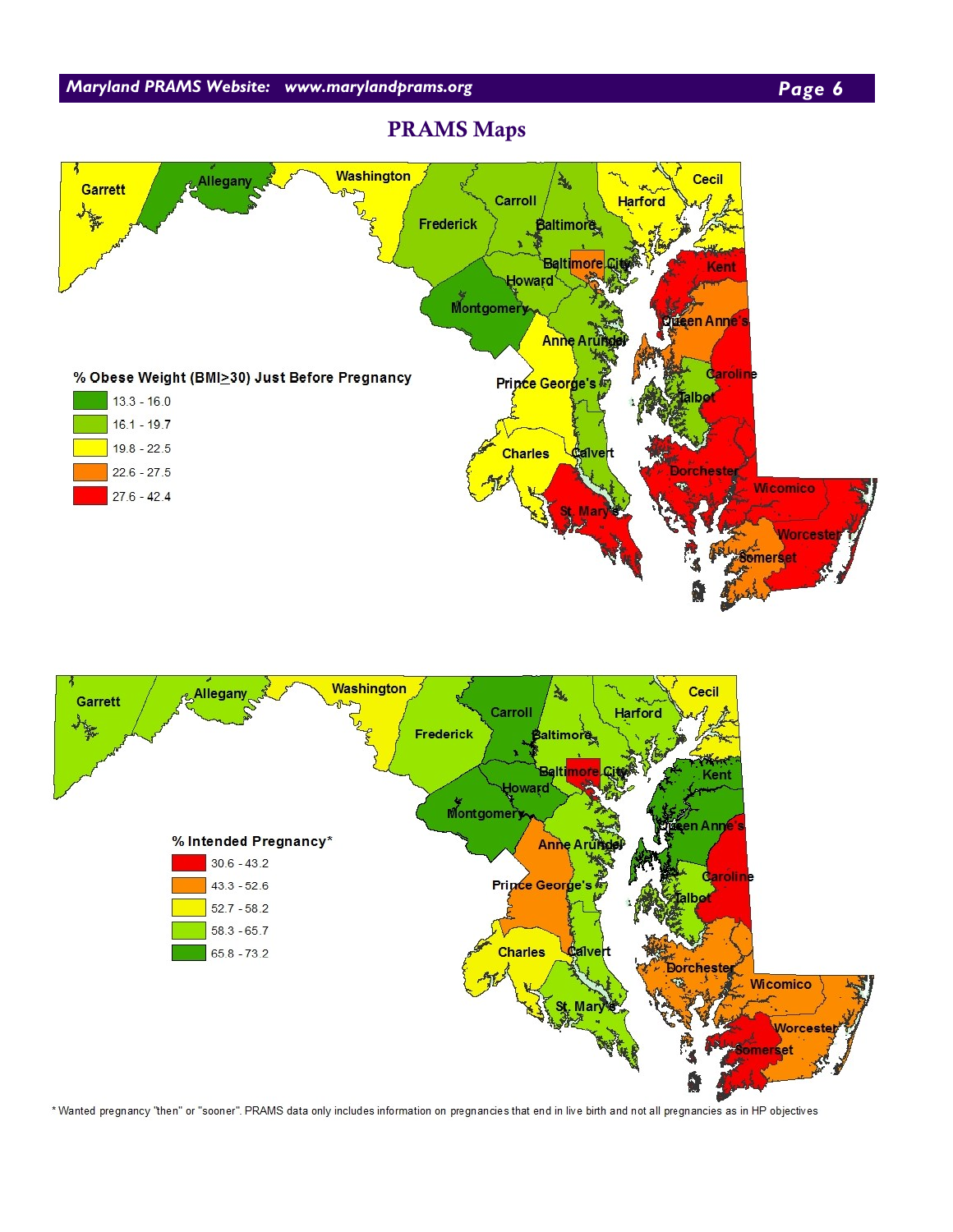



### Washington Cecil <sub>2</sub> Allegany તે. Garrett Carroll **Harford** Frederick Baltimore, Beltimo Kent Howard Montgomery Anne % Intended Pregnancy\* Anne Arum  $30.6 - 43.2$ **Caroline**  $43.3 - 52.6$ Prince George's  $52.7 - 58.2$  $58.3 - 65.7$ **Charles**  $65.8 - 73.2$ Calvert rcheste **Wicomico** Worcestet erset

\* Wanted pregnancy "then" or "sooner". PRAMS data only includes information on pregnancies that end in live birth and not all pregnancies as in HP objectives

# **PRAMS Maps**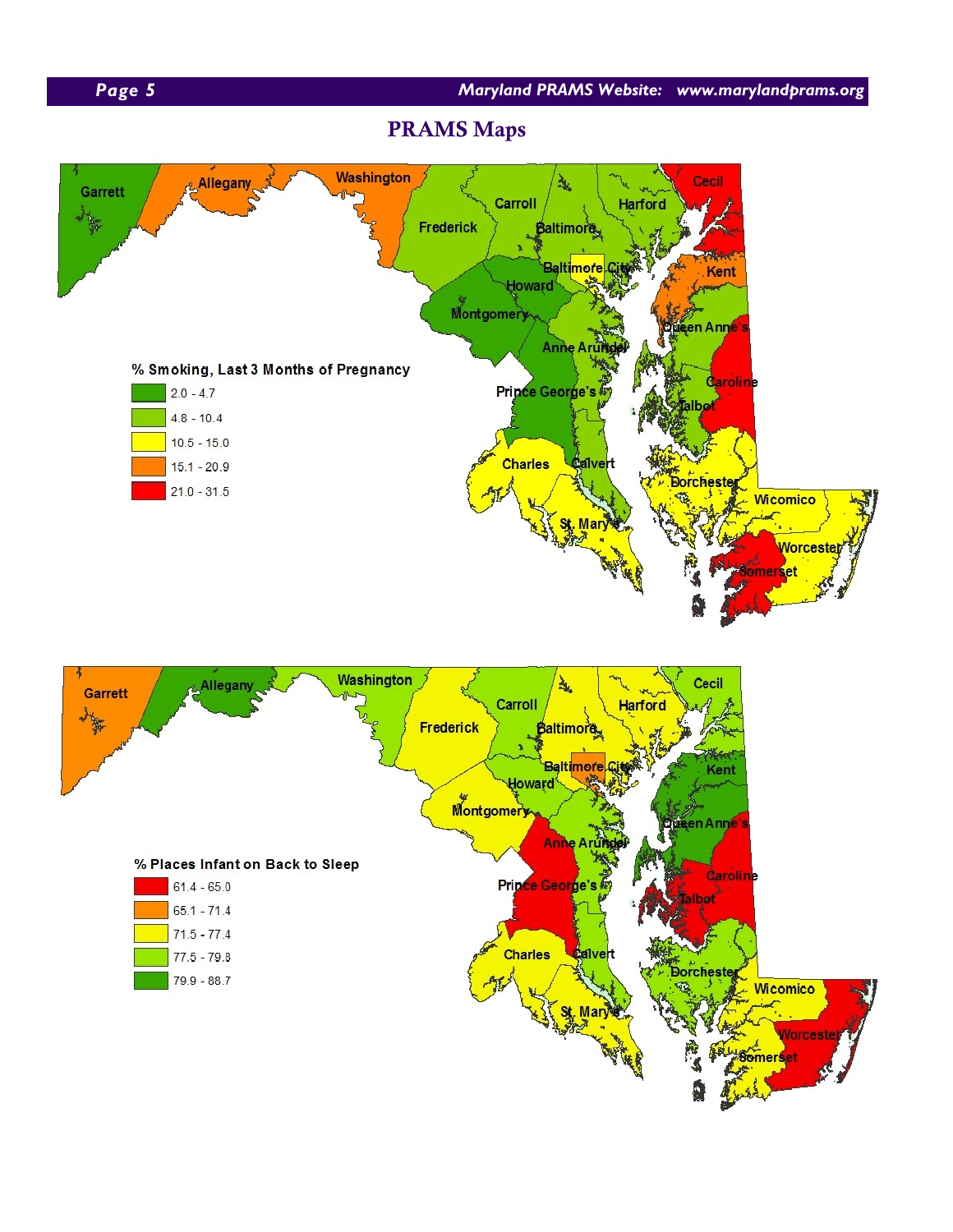

# **PRAMS Maps**